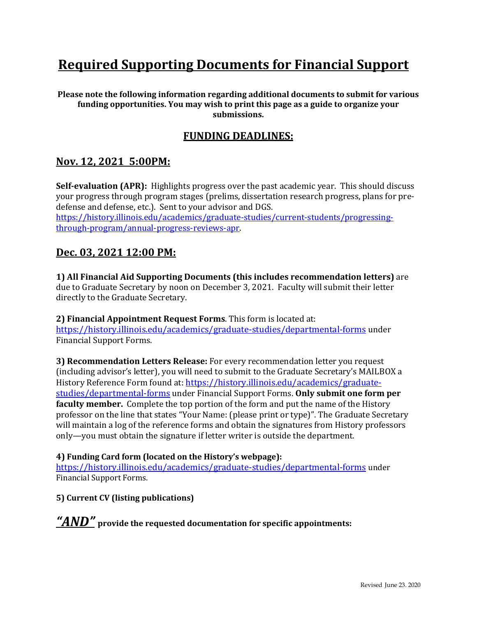# **Required Supporting Documents for Financial Support**

**Please note the following information regarding additional documents to submit for various funding opportunities. You may wish to print this page as a guide to organize your submissions.**

## **FUNDING DEADLINES:**

## **Nov. 12, 2021 5:00PM:**

**Self-evaluation (APR):** Highlights progress over the past academic year. This should discuss your progress through program stages (prelims, dissertation research progress, plans for predefense and defense, etc.). Sent to your advisor and DGS. [https://history.illinois.edu/academics/graduate-studies/current-students/progressing-](https://history.illinois.edu/academics/graduate-studies/current-students/progressing-through-program/annual-progress-reviews-apr)

[through-program/annual-progress-reviews-apr.](https://history.illinois.edu/academics/graduate-studies/current-students/progressing-through-program/annual-progress-reviews-apr)

## **Dec. 03, 2021 12:00 PM:**

**1) All Financial Aid Supporting Documents (this includes recommendation letters)** are due to Graduate Secretary by noon on December 3, 2021. Faculty will submit their letter directly to the Graduate Secretary.

**2) Financial Appointment Request Forms**. This form is located at: https://history.illinois.edu/academics/graduate-studies/departmental-forms under Financial Support Forms.

**3) Recommendation Letters Release:** For every recommendation letter you request (including advisor's letter), you will need to submit to the Graduate Secretary's MAILBOX a History Reference Form found at: https://history.illinois.edu/academics/graduatestudies/departmental-forms under Financial Support Forms. **Only submit one form per faculty member.** Complete the top portion of the form and put the name of the History professor on the line that states "Your Name: (please print or type)". The Graduate Secretary will maintain a log of the reference forms and obtain the signatures from History professors only—you must obtain the signature if letter writer is outside the department.

#### **4) Funding Card form (located on the History's webpage):**

https://history.illinois.edu/academics/graduate-studies/departmental-forms under Financial Support Forms.

### **5) Current CV (listing publications)**

*"AND"* **provide the requested documentation for specific appointments:**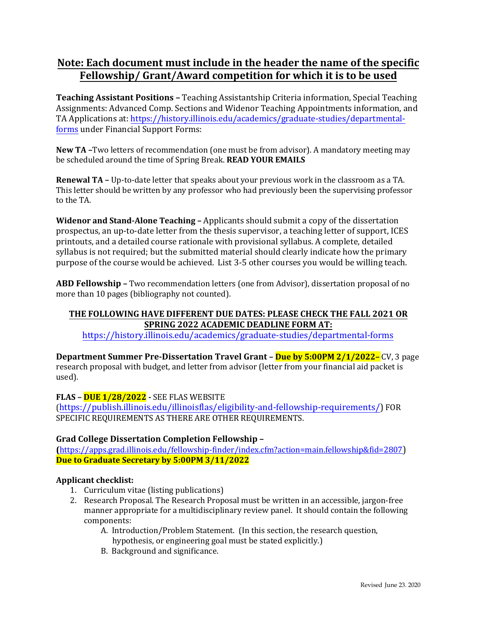# **Note: Each document must include in the header the name of the specific Fellowship/ Grant/Award competition for which it is to be used**

**Teaching Assistant Positions –** Teaching Assistantship Criteria information, Special Teaching Assignments: Advanced Comp. Sections and Widenor Teaching Appointments information, and TA Applications at: https://history.illinois.edu/academics/graduate-studies/departmentalforms under Financial Support Forms:

**New TA –**Two letters of recommendation (one must be from advisor). A mandatory meeting may be scheduled around the time of Spring Break. **READ YOUR EMAILS** 

**Renewal TA –** Up-to-date letter that speaks about your previous work in the classroom as a TA. This letter should be written by any professor who had previously been the supervising professor to the TA.

**Widenor and Stand-Alone Teaching –** Applicants should submit a copy of the dissertation prospectus, an up-to-date letter from the thesis supervisor, a teaching letter of support, ICES printouts, and a detailed course rationale with provisional syllabus. A complete, detailed syllabus is not required; but the submitted material should clearly indicate how the primary purpose of the course would be achieved. List 3-5 other courses you would be willing teach.

**ABD Fellowship –** Two recommendation letters (one from Advisor), dissertation proposal of no more than 10 pages (bibliography not counted).

## **THE FOLLOWING HAVE DIFFERENT DUE DATES: PLEASE CHECK THE FALL 2021 OR SPRING 2022 ACADEMIC DEADLINE FORM AT:**

<https://history.illinois.edu/academics/graduate-studies/departmental-forms>

**Department Summer Pre-Dissertation Travel Grant – Due by 5:00PM 2/1/2022–** CV, 3 page research proposal with budget, and letter from advisor (letter from your financial aid packet is used).

### **FLAS – DUE 1/28/2022 -** SEE FLAS WEBSITE

(https://publish.illinois.edu/illinoisflas/eligibility-and-fellowship-requirements/) FOR SPECIFIC REQUIREMENTS AS THERE ARE OTHER REQUIREMENTS.

### **Grad College Dissertation Completion Fellowship –**

**(**https://apps.grad.illinois.edu/fellowship-finder/index.cfm?action=main.fellowship&fid=2807) **Due to Graduate Secretary by 5:00PM 3/11/2022** 

### **Applicant checklist:**

- 1. Curriculum vitae (listing publications)
- 2. Research Proposal. The Research Proposal must be written in an accessible, jargon-free manner appropriate for a multidisciplinary review panel. It should contain the following components:
	- A. Introduction/Problem Statement. (In this section, the research question, hypothesis, or engineering goal must be stated explicitly.)
	- B. Background and significance.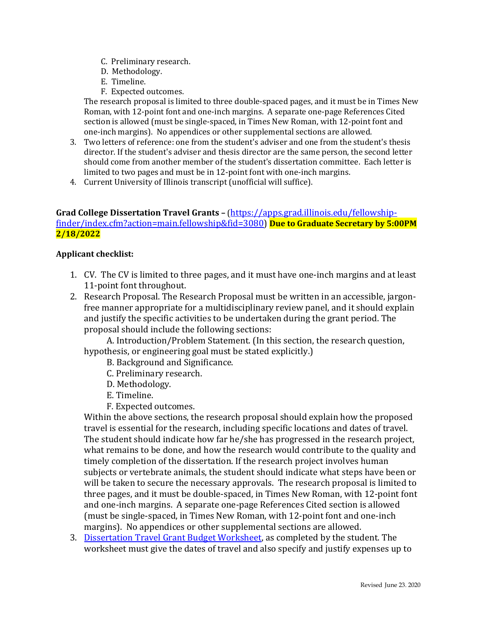- C. Preliminary research.
- D. Methodology.
- E. Timeline.
- F. Expected outcomes.

The research proposal is limited to three double-spaced pages, and it must be in Times New Roman, with 12-point font and one-inch margins. A separate one-page References Cited section is allowed (must be single-spaced, in Times New Roman, with 12-point font and one-inch margins). No appendices or other supplemental sections are allowed.

- 3. Two letters of reference: one from the student's adviser and one from the student's thesis director. If the student's adviser and thesis director are the same person, the second letter should come from another member of the student's dissertation committee. Each letter is limited to two pages and must be in 12-point font with one-inch margins.
- 4. Current University of Illinois transcript (unofficial will suffice).

## Grad College Dissertation Travel Grants - [\(https://apps.grad.illinois.edu/fellowship](https://apps.grad.illinois.edu/fellowship-finder/index.cfm?action=main.fellowship&fid=3080)[finder/index.cfm?action=main.fellowship&fid=3080\)](https://apps.grad.illinois.edu/fellowship-finder/index.cfm?action=main.fellowship&fid=3080) **Due to Graduate Secretary by 5:00PM 2/18/2022**

#### **Applicant checklist:**

- 1. CV. The CV is limited to three pages, and it must have one-inch margins and at least 11-point font throughout.
- 2. Research Proposal. The Research Proposal must be written in an accessible, jargonfree manner appropriate for a multidisciplinary review panel, and it should explain and justify the specific activities to be undertaken during the grant period. The proposal should include the following sections:

A. Introduction/Problem Statement. (In this section, the research question, hypothesis, or engineering goal must be stated explicitly.)

- B. Background and Significance.
- C. Preliminary research.
- D. Methodology.
- E. Timeline.
- F. Expected outcomes.

Within the above sections, the research proposal should explain how the proposed travel is essential for the research, including specific locations and dates of travel. The student should indicate how far he/she has progressed in the research project, what remains to be done, and how the research would contribute to the quality and timely completion of the dissertation. If the research project involves human subjects or vertebrate animals, the student should indicate what steps have been or will be taken to secure the necessary approvals. The research proposal is limited to three pages, and it must be double-spaced, in Times New Roman, with 12-point font and one-inch margins. A separate one-page References Cited section is allowed (must be single-spaced, in Times New Roman, with 12-point font and one-inch margins). No appendices or other supplemental sections are allowed.

3. [Dissertation Travel Grant Budget Worksheet,](https://history.illinois.edu/academics/graduate-studies/departmental-forms) as completed by the student. The worksheet must give the dates of travel and also specify and justify expenses up to